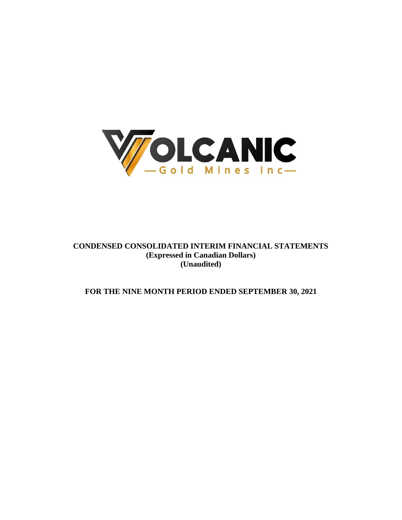

# **CONDENSED CONSOLIDATED INTERIM FINANCIAL STATEMENTS (Expressed in Canadian Dollars) (Unaudited)**

# **FOR THE NINE MONTH PERIOD ENDED SEPTEMBER 30, 2021**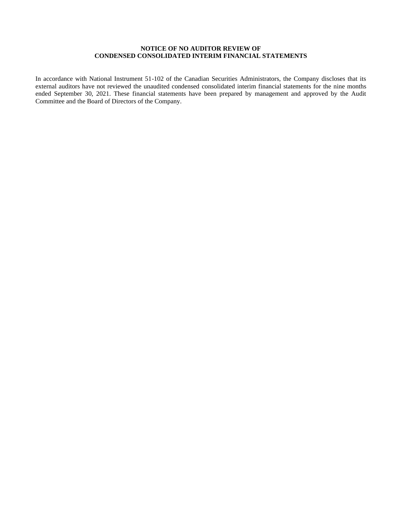# **NOTICE OF NO AUDITOR REVIEW OF CONDENSED CONSOLIDATED INTERIM FINANCIAL STATEMENTS**

In accordance with National Instrument 51-102 of the Canadian Securities Administrators, the Company discloses that its external auditors have not reviewed the unaudited condensed consolidated interim financial statements for the nine months ended September 30, 2021. These financial statements have been prepared by management and approved by the Audit Committee and the Board of Directors of the Company.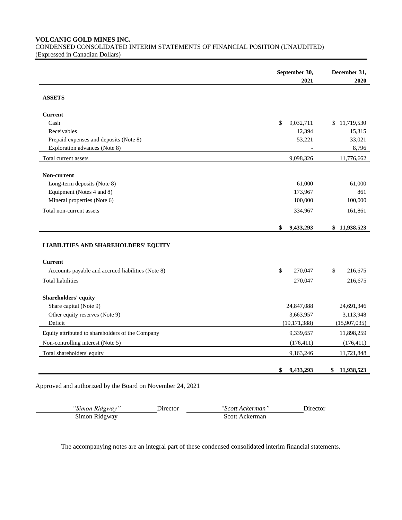**VOLCANIC GOLD MINES INC.**

CONDENSED CONSOLIDATED INTERIM STATEMENTS OF FINANCIAL POSITION (UNAUDITED) (Expressed in Canadian Dollars)

|                                                   | September 30,   | December 31,  |
|---------------------------------------------------|-----------------|---------------|
|                                                   | 2021            | 2020          |
| <b>ASSETS</b>                                     |                 |               |
| <b>Current</b>                                    |                 |               |
| Cash                                              | \$<br>9,032,711 | \$11,719,530  |
| Receivables                                       | 12,394          | 15,315        |
| Prepaid expenses and deposits (Note 8)            | 53,221          | 33,021        |
| Exploration advances (Note 8)                     |                 | 8,796         |
| Total current assets                              | 9,098,326       | 11,776,662    |
| Non-current                                       |                 |               |
| Long-term deposits (Note 8)                       | 61,000          | 61,000        |
| Equipment (Notes 4 and 8)                         | 173,967         | 861           |
| Mineral properties (Note 6)                       | 100,000         | 100,000       |
| Total non-current assets                          | 334,967         | 161,861       |
|                                                   | \$              |               |
|                                                   | 9,433,293       | \$11,938,523  |
|                                                   |                 |               |
| <b>LIABILITIES AND SHAREHOLDERS' EQUITY</b>       |                 |               |
| <b>Current</b>                                    |                 |               |
| Accounts payable and accrued liabilities (Note 8) | \$<br>270,047   | \$<br>216,675 |
| <b>Total liabilities</b>                          | 270,047         | 216,675       |
|                                                   |                 |               |
| Shareholders' equity                              |                 |               |
| Share capital (Note 9)                            | 24,847,088      | 24,691,346    |
| Other equity reserves (Note 9)                    | 3,663,957       | 3,113,948     |
| Deficit                                           | (19, 171, 388)  | (15,907,035)  |
| Equity attributed to shareholders of the Company  | 9,339,657       | 11,898,259    |
| Non-controlling interest (Note 5)                 | (176, 411)      | (176, 411)    |
| Total shareholders' equity                        | 9,163,246       | 11,721,848    |

Approved and authorized by the Board on November 24, 2021

| "Simon Ridgway" | .) trector | "Scott Ackerman" | Jirector |
|-----------------|------------|------------------|----------|
| Simon Ridgway   |            | Scott Ackerman   |          |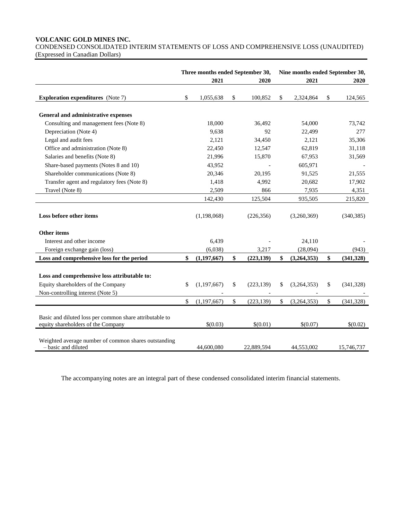# **VOLCANIC GOLD MINES INC.**

CONDENSED CONSOLIDATED INTERIM STATEMENTS OF LOSS AND COMPREHENSIVE LOSS (UNAUDITED) (Expressed in Canadian Dollars)

|                                                                                                                         | Three months ended September 30, |                  |    | Nine months ended September 30, |                  |
|-------------------------------------------------------------------------------------------------------------------------|----------------------------------|------------------|----|---------------------------------|------------------|
|                                                                                                                         | 2021                             | 2020             |    | 2021                            | 2020             |
| <b>Exploration expenditures</b> (Note 7)                                                                                | \$<br>1,055,638                  | \$<br>100,852    | S  | 2,324,864                       | \$<br>124,565    |
|                                                                                                                         |                                  |                  |    |                                 |                  |
| General and administrative expenses                                                                                     |                                  |                  |    |                                 |                  |
| Consulting and management fees (Note 8)                                                                                 | 18,000                           | 36,492           |    | 54,000                          | 73,742           |
| Depreciation (Note 4)                                                                                                   | 9,638                            | 92               |    | 22,499                          | 277              |
| Legal and audit fees                                                                                                    | 2,121                            | 34,450           |    | 2,121                           | 35,306           |
| Office and administration (Note 8)                                                                                      | 22,450                           | 12,547           |    | 62,819                          | 31,118           |
| Salaries and benefits (Note 8)                                                                                          | 21,996                           | 15,870           |    | 67,953                          | 31,569           |
| Share-based payments (Notes 8 and 10)                                                                                   | 43,952                           |                  |    | 605,971                         |                  |
| Shareholder communications (Note 8)                                                                                     | 20,346                           | 20,195           |    | 91,525                          | 21,555           |
| Transfer agent and regulatory fees (Note 8)                                                                             | 1,418                            | 4,992            |    | 20,682                          | 17,902           |
| Travel (Note 8)                                                                                                         | 2,509                            | 866              |    | 7,935                           | 4,351            |
|                                                                                                                         | 142,430                          | 125,504          |    | 935,505                         | 215,820          |
| Loss before other items                                                                                                 | (1,198,068)                      | (226, 356)       |    | (3,260,369)                     | (340, 385)       |
| <b>Other items</b>                                                                                                      |                                  |                  |    |                                 |                  |
| Interest and other income                                                                                               | 6,439                            |                  |    | 24,110                          |                  |
| Foreign exchange gain (loss)                                                                                            | (6,038)                          | 3,217            |    | (28,094)                        | (943)            |
| Loss and comprehensive loss for the period                                                                              | \$<br>(1,197,667)                | \$<br>(223, 139) | \$ | (3,264,353)                     | \$<br>(341, 328) |
| Loss and comprehensive loss attributable to:<br>Equity shareholders of the Company<br>Non-controlling interest (Note 5) | \$<br>(1,197,667)                | \$<br>(223, 139) | \$ | (3,264,353)                     | \$<br>(341, 328) |
|                                                                                                                         | \$<br>(1, 197, 667)              | \$<br>(223, 139) | \$ | (3,264,353)                     | \$<br>(341, 328) |
|                                                                                                                         |                                  |                  |    |                                 |                  |
| Basic and diluted loss per common share attributable to<br>equity shareholders of the Company                           | \$(0.03)                         | \$(0.01)         |    | \$(0.07)                        | \$(0.02)         |
| Weighted average number of common shares outstanding<br>- basic and diluted                                             | 44,600,080                       | 22,889,594       |    | 44,553,002                      | 15,746,737       |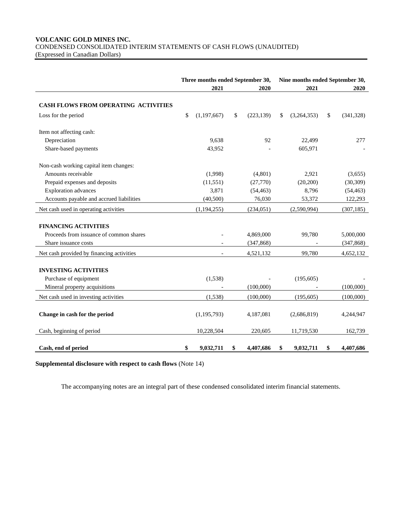# **VOLCANIC GOLD MINES INC.** CONDENSED CONSOLIDATED INTERIM STATEMENTS OF CASH FLOWS (UNAUDITED) (Expressed in Canadian Dollars)

|                                           | Three months ended September 30, |               |    |            |      | Nine months ended September 30, |    |            |  |
|-------------------------------------------|----------------------------------|---------------|----|------------|------|---------------------------------|----|------------|--|
|                                           |                                  |               |    | 2020       | 2021 |                                 |    | 2020       |  |
| CASH FLOWS FROM OPERATING ACTIVITIES      |                                  |               |    |            |      |                                 |    |            |  |
| Loss for the period                       | \$                               | (1, 197, 667) | \$ | (223, 139) | \$   | (3,264,353)                     | \$ | (341,328)  |  |
| Item not affecting cash:                  |                                  |               |    |            |      |                                 |    |            |  |
| Depreciation                              |                                  | 9,638         |    | 92         |      | 22,499                          |    | 277        |  |
| Share-based payments                      |                                  | 43,952        |    |            |      | 605,971                         |    |            |  |
| Non-cash working capital item changes:    |                                  |               |    |            |      |                                 |    |            |  |
| Amounts receivable                        |                                  | (1,998)       |    | (4,801)    |      | 2,921                           |    | (3,655)    |  |
| Prepaid expenses and deposits             |                                  | (11, 551)     |    | (27,770)   |      | (20,200)                        |    | (30, 309)  |  |
| <b>Exploration</b> advances               |                                  | 3,871         |    | (54, 463)  |      | 8,796                           |    | (54, 463)  |  |
| Accounts payable and accrued liabilities  |                                  | (40,500)      |    | 76,030     |      | 53,372                          |    | 122,293    |  |
| Net cash used in operating activities     |                                  | (1, 194, 255) |    | (234, 051) |      | (2,590,994)                     |    | (307, 185) |  |
| <b>FINANCING ACTIVITIES</b>               |                                  |               |    |            |      |                                 |    |            |  |
| Proceeds from issuance of common shares   |                                  |               |    | 4,869,000  |      | 99,780                          |    | 5,000,000  |  |
| Share issuance costs                      |                                  |               |    | (347, 868) |      |                                 |    | (347, 868) |  |
| Net cash provided by financing activities |                                  |               |    | 4,521,132  |      | 99.780                          |    | 4,652,132  |  |
| <b>INVESTING ACTIVITIES</b>               |                                  |               |    |            |      |                                 |    |            |  |
| Purchase of equipment                     |                                  | (1,538)       |    |            |      | (195, 605)                      |    |            |  |
| Mineral property acquisitions             |                                  |               |    | (100,000)  |      |                                 |    | (100,000)  |  |
|                                           |                                  |               |    |            |      |                                 |    |            |  |
| Net cash used in investing activities     |                                  | (1,538)       |    | (100,000)  |      | (195, 605)                      |    | (100,000)  |  |
| Change in cash for the period             |                                  | (1, 195, 793) |    | 4,187,081  |      | (2,686,819)                     |    | 4,244,947  |  |
| Cash, beginning of period                 |                                  | 10,228,504    |    | 220,605    |      | 11,719,530                      |    | 162,739    |  |
| Cash, end of period                       | \$                               | 9,032,711     | \$ | 4,407,686  | \$   | 9,032,711                       | \$ | 4,407,686  |  |

# **Supplemental disclosure with respect to cash flows** (Note 14)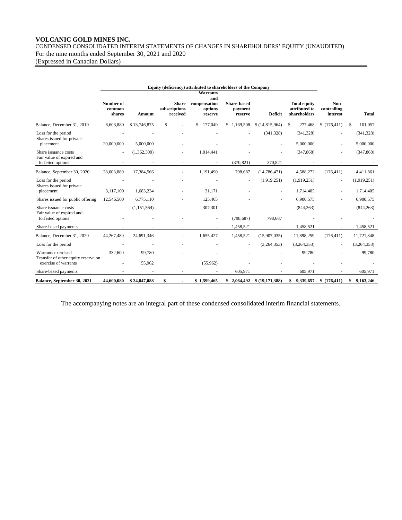# **VOLCANIC GOLD MINES INC.**

CONDENSED CONSOLIDATED INTERIM STATEMENTS OF CHANGES IN SHAREHOLDERS' EQUITY (UNAUDITED) For the nine months ended September 30, 2021 and 2020

(Expressed in Canadian Dollars)

|                                                                        |                               |               |                                           | Equity (deficiency) attributed to shareholders of the Company |                                          |                          |                                                      |                                 |                         |
|------------------------------------------------------------------------|-------------------------------|---------------|-------------------------------------------|---------------------------------------------------------------|------------------------------------------|--------------------------|------------------------------------------------------|---------------------------------|-------------------------|
|                                                                        |                               |               |                                           | <b>Warrants</b><br>and                                        |                                          |                          |                                                      |                                 |                         |
|                                                                        | Number of<br>common<br>shares | Amount        | <b>Share</b><br>subscriptions<br>received | compensation<br>options<br>reserve                            | <b>Share-based</b><br>payment<br>reserve | Deficit                  | <b>Total equity</b><br>attributed to<br>shareholders | Non-<br>controlling<br>interest | <b>Total</b>            |
| Balance, December 31, 2019                                             | 8,603,880                     | \$13,746,875  | \$                                        | 177,049                                                       | 1,169,508                                | \$(14,815,964)           | 277,468<br>\$                                        | \$(176, 411)                    | 101,057<br>\$           |
| Loss for the period<br>Shares issued for private<br>placement          | 20,000,000                    | 5,000,000     |                                           |                                                               |                                          | (341, 328)               | (341, 328)<br>5,000,000                              |                                 | (341, 328)<br>5,000,000 |
| Share issuance costs<br>Fair value of expired and<br>forfeited options |                               | (1,362,309)   |                                           | 1,014,441                                                     | (370, 821)                               | 370,821                  | (347, 868)                                           |                                 | (347, 868)              |
| Balance, September 30, 2020                                            | 28,603,880                    | 17,384,566    |                                           | 1,191,490                                                     | 798,687                                  | (14, 786, 471)           | 4,588,272                                            | (176, 411)                      | 4,411,861               |
| Loss for the period<br>Shares issued for private                       |                               |               |                                           |                                                               | $\sim$                                   | (1,919,251)              | (1,919,251)                                          | $\overline{\phantom{a}}$        | (1,919,251)             |
| placement                                                              | 3,117,100                     | 1,683,234     |                                           | 31,171                                                        |                                          |                          | 1,714,405                                            |                                 | 1,714,405               |
| Shares issued for public offering                                      | 12,546,500                    | 6,775,110     |                                           | 125,465                                                       |                                          |                          | 6,900,575                                            |                                 | 6,900,575               |
| Share issuance costs<br>Fair value of expired and                      |                               | (1, 151, 564) |                                           | 307,301                                                       |                                          |                          | (844, 263)                                           |                                 | (844, 263)              |
| forfeited options                                                      |                               |               |                                           | ٠                                                             | (798, 687)                               | 798,687                  |                                                      |                                 |                         |
| Share-based payments                                                   |                               |               |                                           |                                                               | 1,458,521                                | $\overline{\phantom{a}}$ | 1,458,521                                            |                                 | 1,458,521               |
| Balance, December 31, 2020                                             | 44,267,480                    | 24,691,346    |                                           | 1,655,427                                                     | 1,458,521                                | (15,907,035)             | 11,898,259                                           | (176, 411)                      | 11,721,848              |
| Loss for the period                                                    |                               |               |                                           |                                                               | $\overline{\phantom{a}}$                 | (3,264,353)              | (3,264,353)                                          |                                 | (3,264,353)             |
| Warrants exercised<br>Transfer of other equity reserve on              | 332,600                       | 99,780        |                                           |                                                               |                                          |                          | 99,780                                               |                                 | 99,780                  |
| exercise of warrants                                                   |                               | 55,962        |                                           | (55,962)                                                      |                                          |                          |                                                      |                                 |                         |
| Share-based payments                                                   |                               |               |                                           |                                                               | 605,971                                  |                          | 605,971                                              |                                 | 605,971                 |
| Balance, September 30, 2021                                            | 44,600,080                    | \$24,847,088  | \$                                        | \$1,599,465                                                   | \$2,064,492                              | \$(19,171,388)           | 9,339,657<br>\$                                      | \$(176, 411)                    | \$9,163,246             |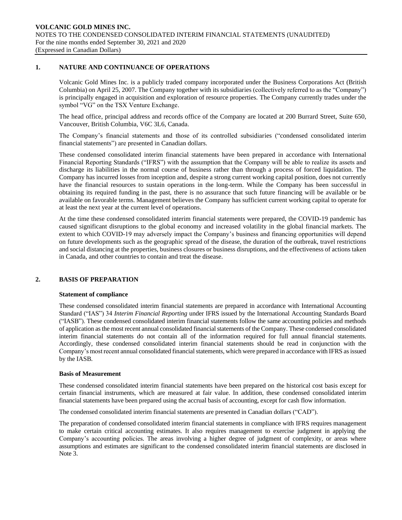# **1. NATURE AND CONTINUANCE OF OPERATIONS**

Volcanic Gold Mines Inc. is a publicly traded company incorporated under the Business Corporations Act (British Columbia) on April 25, 2007. The Company together with its subsidiaries (collectively referred to as the "Company") is principally engaged in acquisition and exploration of resource properties. The Company currently trades under the symbol "VG" on the TSX Venture Exchange.

The head office, principal address and records office of the Company are located at 200 Burrard Street, Suite 650, Vancouver, British Columbia, V6C 3L6, Canada.

The Company's financial statements and those of its controlled subsidiaries ("condensed consolidated interim financial statements") are presented in Canadian dollars.

These condensed consolidated interim financial statements have been prepared in accordance with International Financial Reporting Standards ("IFRS") with the assumption that the Company will be able to realize its assets and discharge its liabilities in the normal course of business rather than through a process of forced liquidation. The Company has incurred losses from inception and, despite a strong current working capital position, does not currently have the financial resources to sustain operations in the long-term. While the Company has been successful in obtaining its required funding in the past, there is no assurance that such future financing will be available or be available on favorable terms. Management believes the Company has sufficient current working capital to operate for at least the next year at the current level of operations.

At the time these condensed consolidated interim financial statements were prepared, the COVID-19 pandemic has caused significant disruptions to the global economy and increased volatility in the global financial markets. The extent to which COVID-19 may adversely impact the Company's business and financing opportunities will depend on future developments such as the geographic spread of the disease, the duration of the outbreak, travel restrictions and social distancing at the properties, business closures or business disruptions, and the effectiveness of actions taken in Canada, and other countries to contain and treat the disease.

#### **2. BASIS OF PREPARATION**

#### **Statement of compliance**

These condensed consolidated interim financial statements are prepared in accordance with International Accounting Standard ("IAS") 34 *Interim Financial Reporting* under IFRS issued by the International Accounting Standards Board ("IASB"). These condensed consolidated interim financial statements follow the same accounting policies and methods of application as the most recent annual consolidated financial statements of the Company. These condensed consolidated interim financial statements do not contain all of the information required for full annual financial statements. Accordingly, these condensed consolidated interim financial statements should be read in conjunction with the Company's most recent annual consolidated financial statements, which were prepared in accordance with IFRS as issued by the IASB.

#### **Basis of Measurement**

These condensed consolidated interim financial statements have been prepared on the historical cost basis except for certain financial instruments, which are measured at fair value. In addition, these condensed consolidated interim financial statements have been prepared using the accrual basis of accounting, except for cash flow information.

The condensed consolidated interim financial statements are presented in Canadian dollars ("CAD").

The preparation of condensed consolidated interim financial statements in compliance with IFRS requires management to make certain critical accounting estimates. It also requires management to exercise judgment in applying the Company's accounting policies. The areas involving a higher degree of judgment of complexity, or areas where assumptions and estimates are significant to the condensed consolidated interim financial statements are disclosed in Note 3.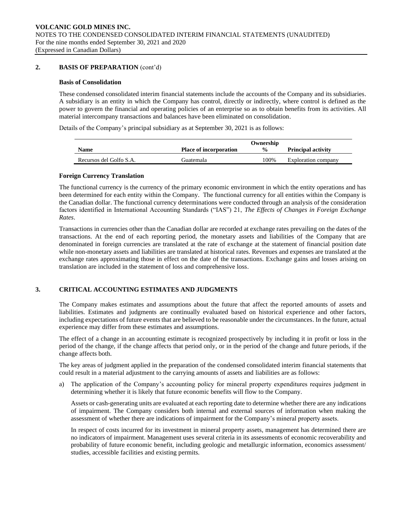# **2. BASIS OF PREPARATION** (cont'd)

#### **Basis of Consolidation**

These condensed consolidated interim financial statements include the accounts of the Company and its subsidiaries. A subsidiary is an entity in which the Company has control, directly or indirectly, where control is defined as the power to govern the financial and operating policies of an enterprise so as to obtain benefits from its activities. All material intercompany transactions and balances have been eliminated on consolidation.

Details of the Company's principal subsidiary as at September 30, 2021 is as follows:

|                         | Ownership                     |               |                           |  |  |  |  |
|-------------------------|-------------------------------|---------------|---------------------------|--|--|--|--|
| Name                    | <b>Place of incorporation</b> | $\frac{6}{9}$ | <b>Principal activity</b> |  |  |  |  |
| Recursos del Golfo S.A. | . iuatemala                   | 100%          | Exploration company       |  |  |  |  |

#### **Foreign Currency Translation**

The functional currency is the currency of the primary economic environment in which the entity operations and has been determined for each entity within the Company. The functional currency for all entities within the Company is the Canadian dollar. The functional currency determinations were conducted through an analysis of the consideration factors identified in International Accounting Standards ("IAS") 21, *The Effects of Changes in Foreign Exchange Rates*.

Transactions in currencies other than the Canadian dollar are recorded at exchange rates prevailing on the dates of the transactions. At the end of each reporting period, the monetary assets and liabilities of the Company that are denominated in foreign currencies are translated at the rate of exchange at the statement of financial position date while non-monetary assets and liabilities are translated at historical rates. Revenues and expenses are translated at the exchange rates approximating those in effect on the date of the transactions. Exchange gains and losses arising on translation are included in the statement of loss and comprehensive loss.

# **3. CRITICAL ACCOUNTING ESTIMATES AND JUDGMENTS**

The Company makes estimates and assumptions about the future that affect the reported amounts of assets and liabilities. Estimates and judgments are continually evaluated based on historical experience and other factors, including expectations of future events that are believed to be reasonable under the circumstances. In the future, actual experience may differ from these estimates and assumptions.

The effect of a change in an accounting estimate is recognized prospectively by including it in profit or loss in the period of the change, if the change affects that period only, or in the period of the change and future periods, if the change affects both.

The key areas of judgment applied in the preparation of the condensed consolidated interim financial statements that could result in a material adjustment to the carrying amounts of assets and liabilities are as follows:

a) The application of the Company's accounting policy for mineral property expenditures requires judgment in determining whether it is likely that future economic benefits will flow to the Company.

Assets or cash-generating units are evaluated at each reporting date to determine whether there are any indications of impairment. The Company considers both internal and external sources of information when making the assessment of whether there are indications of impairment for the Company's mineral property assets.

In respect of costs incurred for its investment in mineral property assets, management has determined there are no indicators of impairment. Management uses several criteria in its assessments of economic recoverability and probability of future economic benefit, including geologic and metallurgic information, economics assessment/ studies, accessible facilities and existing permits.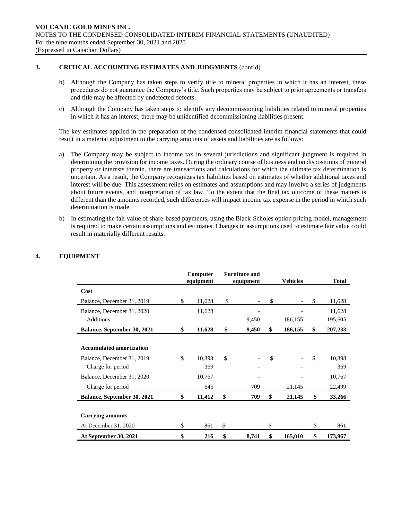# **3. CRITICAL ACCOUNTING ESTIMATES AND JUDGMENTS** (cont'd)

- b) Although the Company has taken steps to verify title to mineral properties in which it has an interest, these procedures do not guarantee the Company's title. Such properties may be subject to prior agreements or transfers and title may be affected by undetected defects.
- c) Although the Company has taken steps to identify any decommissioning liabilities related to mineral properties in which it has an interest, there may be unidentified decommissioning liabilities present.

The key estimates applied in the preparation of the condensed consolidated interim financial statements that could result in a material adjustment to the carrying amounts of assets and liabilities are as follows:

- a) The Company may be subject to income tax in several jurisdictions and significant judgment is required in determining the provision for income taxes. During the ordinary course of business and on dispositions of mineral property or interests therein, there are transactions and calculations for which the ultimate tax determination is uncertain. As a result, the Company recognizes tax liabilities based on estimates of whether additional taxes and interest will be due. This assessment relies on estimates and assumptions and may involve a series of judgments about future events, and interpretation of tax law. To the extent that the final tax outcome of these matters is different than the amounts recorded, such differences will impact income tax expense in the period in which such determination is made.
- b) In estimating the fair value of share-based payments, using the Black-Scholes option pricing model, management is required to make certain assumptions and estimates. Changes in assumptions used to estimate fair value could result in materially different results.

|                                 | Computer<br>equipment |              | <b>Furniture and</b><br>equipment | <b>Vehicles</b> |               | <b>Total</b> |
|---------------------------------|-----------------------|--------------|-----------------------------------|-----------------|---------------|--------------|
| Cost                            |                       |              |                                   |                 |               |              |
| Balance, December 31, 2019      | \$<br>11,628          | \$           |                                   | \$              | $\mathcal{S}$ | 11,628       |
| Balance, December 31, 2020      | 11,628                |              |                                   |                 |               | 11,628       |
| Additions                       |                       |              | 9,450                             | 186,155         |               | 195,605      |
| Balance, September 30, 2021     | \$<br>11,628          | \$           | 9,450                             | \$<br>186,155   | \$            | 207,233      |
|                                 |                       |              |                                   |                 |               |              |
| <b>Accumulated amortization</b> |                       |              |                                   |                 |               |              |
| Balance, December 31, 2019      | \$<br>10,398          | $\mathbb{S}$ |                                   | \$              | \$.           | 10,398       |
| Charge for period               | 369                   |              |                                   |                 |               | 369          |
| Balance, December 31, 2020      | 10,767                |              |                                   |                 |               | 10,767       |
| Charge for period               | 645                   |              | 709                               | 21,145          |               | 22,499       |
| Balance, September 30, 2021     | \$<br>11,412          | \$           | 709                               | \$<br>21,145    | \$            | 33,266       |
|                                 |                       |              |                                   |                 |               |              |
| <b>Carrying amounts</b>         |                       |              |                                   |                 |               |              |
| At December 31, 2020            | \$<br>861             | \$           |                                   | \$              | \$            | 861          |
| At September 30, 2021           | \$<br>216             | \$           | 8,741                             | \$<br>165,010   | \$            | 173,967      |

# **4. EQUIPMENT**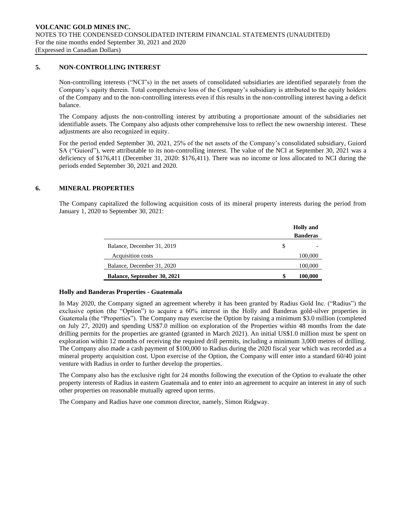# **5. NON-CONTROLLING INTEREST**

Non-controlling interests ("NCI"s) in the net assets of consolidated subsidiaries are identified separately from the Company's equity therein. Total comprehensive loss of the Company's subsidiary is attributed to the equity holders of the Company and to the non-controlling interests even if this results in the non-controlling interest having a deficit balance.

The Company adjusts the non-controlling interest by attributing a proportionate amount of the subsidiaries net identifiable assets. The Company also adjusts other comprehensive loss to reflect the new ownership interest. These adjustments are also recognized in equity.

For the period ended September 30, 2021, 25% of the net assets of the Company's consolidated subsidiary, Guiord SA ("Guiord"), were attributable to its non-controlling interest. The value of the NCI at September 30, 2021 was a deficiency of \$176,411 (December 31, 2020: \$176,411). There was no income or loss allocated to NCI during the periods ended September 30, 2021 and 2020.

### **6. MINERAL PROPERTIES**

The Company capitalized the following acquisition costs of its mineral property interests during the period from January 1, 2020 to September 30, 2021:

|                             |   | <b>Holly</b> and |
|-----------------------------|---|------------------|
|                             |   | <b>Banderas</b>  |
| Balance, December 31, 2019  | S |                  |
| Acquisition costs           |   | 100,000          |
| Balance, December 31, 2020  |   | 100,000          |
| Balance, September 30, 2021 | S | 100,000          |

#### **Holly and Banderas Properties - Guatemala**

In May 2020, the Company signed an agreement whereby it has been granted by Radius Gold Inc. ("Radius") the exclusive option (the "Option") to acquire a 60% interest in the Holly and Banderas gold-silver properties in Guatemala (the "Properties"). The Company may exercise the Option by raising a minimum \$3.0 million (completed on July 27, 2020) and spending US\$7.0 million on exploration of the Properties within 48 months from the date drilling permits for the properties are granted (granted in March 2021). An initial US\$1.0 million must be spent on exploration within 12 months of receiving the required drill permits, including a minimum 3,000 metres of drilling. The Company also made a cash payment of \$100,000 to Radius during the 2020 fiscal year which was recorded as a mineral property acquisition cost. Upon exercise of the Option, the Company will enter into a standard 60/40 joint venture with Radius in order to further develop the properties.

The Company also has the exclusive right for 24 months following the execution of the Option to evaluate the other property interests of Radius in eastern Guatemala and to enter into an agreement to acquire an interest in any of such other properties on reasonable mutually agreed upon terms.

The Company and Radius have one common director, namely, Simon Ridgway.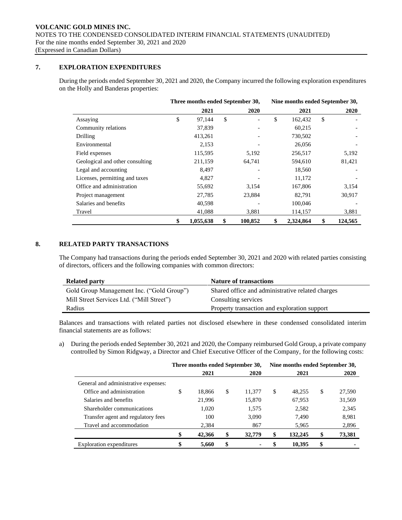# **7. EXPLORATION EXPENDITURES**

During the periods ended September 30, 2021 and 2020, the Company incurred the following exploration expenditures on the Holly and Banderas properties:

|                                 | Three months ended September 30, |           |    |                          |    | Nine months ended September 30, |    |         |  |
|---------------------------------|----------------------------------|-----------|----|--------------------------|----|---------------------------------|----|---------|--|
|                                 |                                  | 2021      |    | 2020                     |    | 2021                            |    | 2020    |  |
| Assaying                        | \$                               | 97,144    | \$ | $\overline{\phantom{a}}$ | \$ | 162,432                         | \$ |         |  |
| Community relations             |                                  | 37,839    |    |                          |    | 60,215                          |    |         |  |
| Drilling                        |                                  | 413,261   |    |                          |    | 730,502                         |    |         |  |
| Environmental                   |                                  | 2,153     |    |                          |    | 26,056                          |    |         |  |
| Field expenses                  |                                  | 115,595   |    | 5,192                    |    | 256,517                         |    | 5,192   |  |
| Geological and other consulting |                                  | 211,159   |    | 64,741                   |    | 594.610                         |    | 81,421  |  |
| Legal and accounting            |                                  | 8,497     |    |                          |    | 18,560                          |    |         |  |
| Licenses, permitting and taxes  |                                  | 4,827     |    |                          |    | 11,172                          |    |         |  |
| Office and administration       |                                  | 55,692    |    | 3,154                    |    | 167,806                         |    | 3,154   |  |
| Project management              |                                  | 27,785    |    | 23,884                   |    | 82,791                          |    | 30,917  |  |
| Salaries and benefits           |                                  | 40,598    |    |                          |    | 100,046                         |    |         |  |
| Travel                          |                                  | 41,088    |    | 3,881                    |    | 114,157                         |    | 3,881   |  |
|                                 | \$                               | 1,055,638 | \$ | 100,852                  | \$ | 2,324,864                       | \$ | 124,565 |  |

# **8. RELATED PARTY TRANSACTIONS**

The Company had transactions during the periods ended September 30, 2021 and 2020 with related parties consisting of directors, officers and the following companies with common directors:

| <b>Related party</b>                      | <b>Nature of transactions</b>                    |
|-------------------------------------------|--------------------------------------------------|
| Gold Group Management Inc. ("Gold Group") | Shared office and administrative related charges |
| Mill Street Services Ltd. ("Mill Street") | Consulting services                              |
| Radius                                    | Property transaction and exploration support     |

Balances and transactions with related parties not disclosed elsewhere in these condensed consolidated interim financial statements are as follows:

a) During the periods ended September 30, 2021 and 2020, the Company reimbursed Gold Group, a private company controlled by Simon Ridgway, a Director and Chief Executive Officer of the Company, for the following costs:

|                                      | Three months ended September 30, |        |    |        |    | Nine months ended September 30, |    |        |  |
|--------------------------------------|----------------------------------|--------|----|--------|----|---------------------------------|----|--------|--|
|                                      |                                  | 2021   |    | 2020   |    | 2021                            |    | 2020   |  |
| General and administrative expenses: |                                  |        |    |        |    |                                 |    |        |  |
| Office and administration            | \$                               | 18.866 | \$ | 11.377 | \$ | 48.255                          | \$ | 27,590 |  |
| Salaries and benefits                |                                  | 21,996 |    | 15,870 |    | 67,953                          |    | 31,569 |  |
| Shareholder communications           |                                  | 1,020  |    | 1,575  |    | 2,582                           |    | 2,345  |  |
| Transfer agent and regulatory fees   |                                  | 100    |    | 3,090  |    | 7.490                           |    | 8,981  |  |
| Travel and accommodation             |                                  | 2,384  |    | 867    |    | 5,965                           |    | 2,896  |  |
|                                      |                                  | 42,366 | \$ | 32,779 | \$ | 132,245                         | \$ | 73,381 |  |
| Exploration expenditures             |                                  | 5,660  | \$ |        | \$ | 10,395                          | \$ |        |  |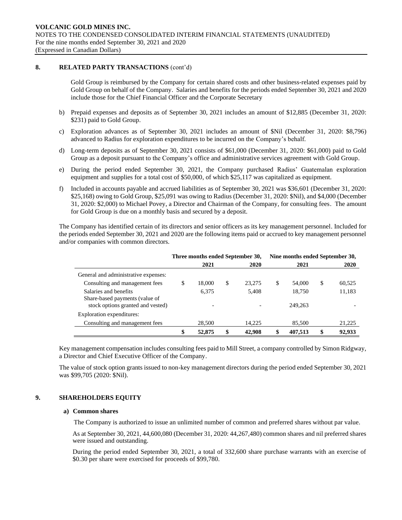# **8. RELATED PARTY TRANSACTIONS** (cont'd)

Gold Group is reimbursed by the Company for certain shared costs and other business-related expenses paid by Gold Group on behalf of the Company. Salaries and benefits for the periods ended September 30, 2021 and 2020 include those for the Chief Financial Officer and the Corporate Secretary

- b) Prepaid expenses and deposits as of September 30, 2021 includes an amount of \$12,885 (December 31, 2020: \$231) paid to Gold Group.
- c) Exploration advances as of September 30, 2021 includes an amount of \$Nil (December 31, 2020: \$8,796) advanced to Radius for exploration expenditures to be incurred on the Company's behalf.
- d) Long-term deposits as of September 30, 2021 consists of \$61,000 (December 31, 2020: \$61,000) paid to Gold Group as a deposit pursuant to the Company's office and administrative services agreement with Gold Group.
- e) During the period ended September 30, 2021, the Company purchased Radius' Guatemalan exploration equipment and supplies for a total cost of \$50,000, of which \$25,117 was capitalized as equipment.
- f) Included in accounts payable and accrued liabilities as of September 30, 2021 was \$36,601 (December 31, 2020: \$25,168) owing to Gold Group, \$25,091 was owing to Radius (December 31, 2020: \$Nil), and \$4,000 (December 31, 2020: \$2,000) to Michael Povey, a Director and Chairman of the Company, for consulting fees. The amount for Gold Group is due on a monthly basis and secured by a deposit.

The Company has identified certain of its directors and senior officers as its key management personnel. Included for the periods ended September 30, 2021 and 2020 are the following items paid or accrued to key management personnel and/or companies with common directors.

|                                                         | Three months ended September 30, |                          |    |        |    | Nine months ended September 30, |    |        |  |
|---------------------------------------------------------|----------------------------------|--------------------------|----|--------|----|---------------------------------|----|--------|--|
|                                                         |                                  | 2021                     |    | 2020   |    | 2021                            |    | 2020   |  |
| General and administrative expenses:                    |                                  |                          |    |        |    |                                 |    |        |  |
| Consulting and management fees                          | \$                               | 18,000                   | \$ | 23,275 | \$ | 54,000                          | \$ | 60,525 |  |
| Salaries and benefits<br>Share-based payments (value of |                                  | 6.375                    |    | 5,408  |    | 18,750                          |    | 11,183 |  |
| stock options granted and vested)                       |                                  | $\overline{\phantom{0}}$ |    |        |    | 249,263                         |    |        |  |
| Exploration expenditures:                               |                                  |                          |    |        |    |                                 |    |        |  |
| Consulting and management fees                          |                                  | 28.500                   |    | 14.225 |    | 85,500                          |    | 21,225 |  |
|                                                         | \$                               | 52,875                   | \$ | 42,908 | \$ | 407.513                         | \$ | 92.933 |  |

Key management compensation includes consulting fees paid to Mill Street, a company controlled by Simon Ridgway, a Director and Chief Executive Officer of the Company.

The value of stock option grants issued to non-key management directors during the period ended September 30, 2021 was \$99,705 (2020: \$Nil).

#### **9. SHAREHOLDERS EQUITY**

#### **a) Common shares**

The Company is authorized to issue an unlimited number of common and preferred shares without par value.

As at September 30, 2021, 44,600,080 (December 31, 2020: 44,267,480) common shares and nil preferred shares were issued and outstanding.

During the period ended September 30, 2021, a total of 332,600 share purchase warrants with an exercise of \$0.30 per share were exercised for proceeds of \$99,780.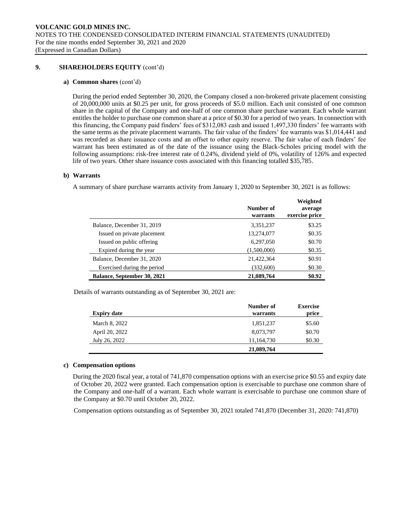### **9. SHAREHOLDERS EQUITY** (cont'd)

#### **a) Common shares** (cont'd)

During the period ended September 30, 2020, the Company closed a non-brokered private placement consisting of 20,000,000 units at \$0.25 per unit, for gross proceeds of \$5.0 million. Each unit consisted of one common share in the capital of the Company and one-half of one common share purchase warrant. Each whole warrant entitles the holder to purchase one common share at a price of \$0.30 for a period of two years. In connection with this financing, the Company paid finders' fees of \$312,083 cash and issued 1,497,330 finders' fee warrants with the same terms as the private placement warrants. The fair value of the finders' fee warrants was \$1,014,441 and was recorded as share issuance costs and an offset to other equity reserve. The fair value of each finders' fee warrant has been estimated as of the date of the issuance using the Black-Scholes pricing model with the following assumptions: risk-free interest rate of 0.24%, dividend yield of 0%, volatility of 126% and expected life of two years. Other share issuance costs associated with this financing totalled \$35,785.

#### **b) Warrants**

A summary of share purchase warrants activity from January 1, 2020 to September 30, 2021 is as follows:

|                             | Number of<br>warrants | Weighted<br>average<br>exercise price |
|-----------------------------|-----------------------|---------------------------------------|
| Balance, December 31, 2019  | 3,351,237             | \$3.25                                |
| Issued on private placement | 13,274,077            | \$0.35                                |
| Issued on public offering   | 6,297,050             | \$0.70                                |
| Expired during the year     | (1,500,000)           | \$0.35                                |
| Balance, December 31, 2020  | 21,422,364            | \$0.91                                |
| Exercised during the period | (332,600)             | \$0.30                                |
| Balance, September 30, 2021 | 21,089,764            | \$0.92                                |

Details of warrants outstanding as of September 30, 2021 are:

| <b>Expiry date</b> | Number of<br>warrants | <b>Exercise</b><br>price |
|--------------------|-----------------------|--------------------------|
| March 8, 2022      | 1,851,237             | \$5.60                   |
| April 20, 2022     | 8,073,797             | \$0.70                   |
| July 26, 2022      | 11,164,730            | \$0.30                   |
|                    | 21,089,764            |                          |

#### **c) Compensation options**

During the 2020 fiscal year, a total of 741,870 compensation options with an exercise price \$0.55 and expiry date of October 20, 2022 were granted. Each compensation option is exercisable to purchase one common share of the Company and one-half of a warrant. Each whole warrant is exercisable to purchase one common share of the Company at \$0.70 until October 20, 2022.

Compensation options outstanding as of September 30, 2021 totaled 741,870 (December 31, 2020: 741,870)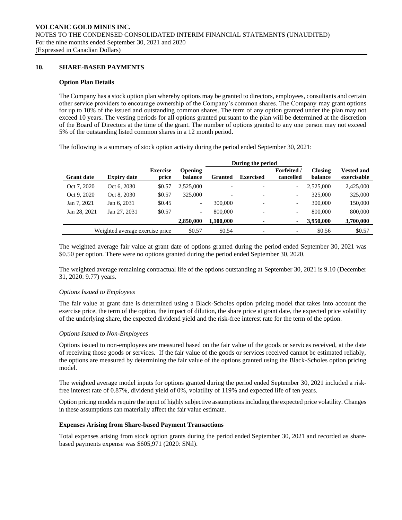### **10. SHARE-BASED PAYMENTS**

#### **Option Plan Details**

The Company has a stock option plan whereby options may be granted to directors, employees, consultants and certain other service providers to encourage ownership of the Company's common shares. The Company may grant options for up to 10% of the issued and outstanding common shares. The term of any option granted under the plan may not exceed 10 years. The vesting periods for all options granted pursuant to the plan will be determined at the discretion of the Board of Directors at the time of the grant. The number of options granted to any one person may not exceed 5% of the outstanding listed common shares in a 12 month period.

The following is a summary of stock option activity during the period ended September 30, 2021:

|                   |                                 |                          |                           |           | During the period        |                                 |                           |                                  |
|-------------------|---------------------------------|--------------------------|---------------------------|-----------|--------------------------|---------------------------------|---------------------------|----------------------------------|
| <b>Grant date</b> | <b>Expiry date</b>              | <b>Exercise</b><br>price | <b>Opening</b><br>balance | Granted   | <b>Exercised</b>         | <b>Forfeited</b> /<br>cancelled | <b>Closing</b><br>balance | <b>Vested and</b><br>exercisable |
| Oct 7, 2020       | Oct 6, 2030                     | \$0.57                   | 2.525,000                 |           | $\overline{\phantom{0}}$ | $\overline{\phantom{a}}$        | 2.525,000                 | 2,425,000                        |
| Oct 9, 2020       | Oct 8, 2030                     | \$0.57                   | 325,000                   |           | $\overline{\phantom{a}}$ | $\overline{\phantom{a}}$        | 325,000                   | 325,000                          |
| Jan 7, 2021       | Jan 6, 2031                     | \$0.45                   | $\overline{\phantom{a}}$  | 300,000   | $\overline{\phantom{0}}$ | $\overline{\phantom{a}}$        | 300,000                   | 150,000                          |
| Jan 28, 2021      | Jan 27, 2031                    | \$0.57                   | $\overline{\phantom{a}}$  | 800,000   | $\overline{\phantom{0}}$ | $\overline{\phantom{a}}$        | 800,000                   | 800,000                          |
|                   |                                 |                          | 2,850,000                 | 1,100,000 | ۰                        | $\overline{\phantom{a}}$        | 3,950,000                 | 3,700,000                        |
|                   | Weighted average exercise price |                          | \$0.57                    | \$0.54    | $\overline{\phantom{0}}$ | $\overline{\phantom{a}}$        | \$0.56                    | \$0.57                           |

The weighted average fair value at grant date of options granted during the period ended September 30, 2021 was \$0.50 per option. There were no options granted during the period ended September 30, 2020.

The weighted average remaining contractual life of the options outstanding at September 30, 2021 is 9.10 (December 31, 2020: 9.77) years.

#### *Options Issued to Employees*

The fair value at grant date is determined using a Black-Scholes option pricing model that takes into account the exercise price, the term of the option, the impact of dilution, the share price at grant date, the expected price volatility of the underlying share, the expected dividend yield and the risk-free interest rate for the term of the option.

#### *Options Issued to Non-Employees*

Options issued to non-employees are measured based on the fair value of the goods or services received, at the date of receiving those goods or services. If the fair value of the goods or services received cannot be estimated reliably, the options are measured by determining the fair value of the options granted using the Black-Scholes option pricing model.

The weighted average model inputs for options granted during the period ended September 30, 2021 included a riskfree interest rate of 0.87%, dividend yield of 0%, volatility of 119% and expected life of ten years.

Option pricing models require the input of highly subjective assumptions including the expected price volatility. Changes in these assumptions can materially affect the fair value estimate.

#### **Expenses Arising from Share-based Payment Transactions**

Total expenses arising from stock option grants during the period ended September 30, 2021 and recorded as sharebased payments expense was \$605,971 (2020: \$Nil).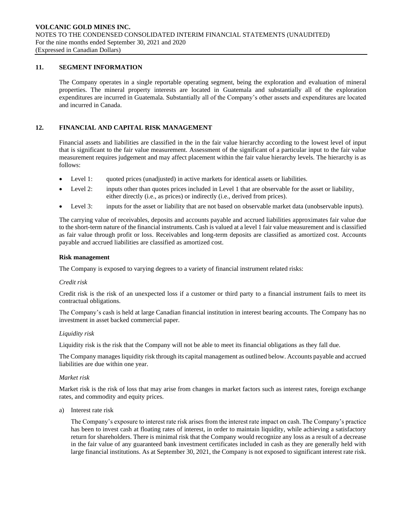# **11. SEGMENT INFORMATION**

The Company operates in a single reportable operating segment, being the exploration and evaluation of mineral properties. The mineral property interests are located in Guatemala and substantially all of the exploration expenditures are incurred in Guatemala. Substantially all of the Company's other assets and expenditures are located and incurred in Canada.

# **12. FINANCIAL AND CAPITAL RISK MANAGEMENT**

Financial assets and liabilities are classified in the in the fair value hierarchy according to the lowest level of input that is significant to the fair value measurement. Assessment of the significant of a particular input to the fair value measurement requires judgement and may affect placement within the fair value hierarchy levels. The hierarchy is as follows:

- Level 1: quoted prices (unadjusted) in active markets for identical assets or liabilities.
- Level 2: inputs other than quotes prices included in Level 1 that are observable for the asset or liability, either directly (i.e., as prices) or indirectly (i.e., derived from prices).
- Level 3: inputs for the asset or liability that are not based on observable market data (unobservable inputs).

The carrying value of receivables, deposits and accounts payable and accrued liabilities approximates fair value due to the short-term nature of the financial instruments. Cash is valued at a level 1 fair value measurement and is classified as fair value through profit or loss. Receivables and long-term deposits are classified as amortized cost. Accounts payable and accrued liabilities are classified as amortized cost.

#### **Risk management**

The Company is exposed to varying degrees to a variety of financial instrument related risks:

#### *Credit risk*

Credit risk is the risk of an unexpected loss if a customer or third party to a financial instrument fails to meet its contractual obligations.

The Company's cash is held at large Canadian financial institution in interest bearing accounts. The Company has no investment in asset backed commercial paper.

#### *Liquidity risk*

Liquidity risk is the risk that the Company will not be able to meet its financial obligations as they fall due.

The Company manages liquidity risk through its capital management as outlined below. Accounts payable and accrued liabilities are due within one year.

#### *Market risk*

Market risk is the risk of loss that may arise from changes in market factors such as interest rates, foreign exchange rates, and commodity and equity prices.

a) Interest rate risk

The Company's exposure to interest rate risk arises from the interest rate impact on cash. The Company's practice has been to invest cash at floating rates of interest, in order to maintain liquidity, while achieving a satisfactory return for shareholders. There is minimal risk that the Company would recognize any loss as a result of a decrease in the fair value of any guaranteed bank investment certificates included in cash as they are generally held with large financial institutions. As at September 30, 2021, the Company is not exposed to significant interest rate risk.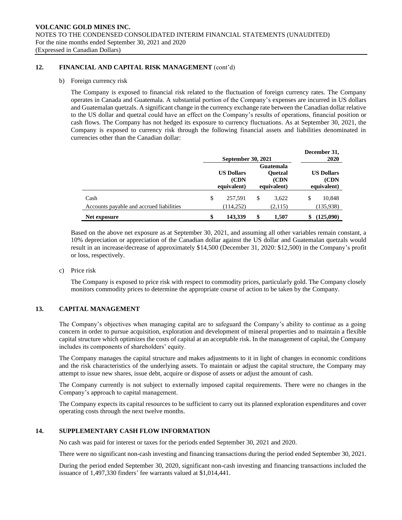# **12. FINANCIAL AND CAPITAL RISK MANAGEMENT** (cont'd)

#### b) Foreign currency risk

The Company is exposed to financial risk related to the fluctuation of foreign currency rates. The Company operates in Canada and Guatemala. A substantial portion of the Company's expenses are incurred in US dollars and Guatemalan quetzals. A significant change in the currency exchange rate between the Canadian dollar relative to the US dollar and quetzal could have an effect on the Company's results of operations, financial position or cash flows. The Company has not hedged its exposure to currency fluctuations. As at September 30, 2021, the Company is exposed to currency risk through the following financial assets and liabilities denominated in currencies other than the Canadian dollar:

|                                                  | <b>September 30, 2021</b> |                                           |    |                                                     |    | December 31,<br>2020                      |  |  |
|--------------------------------------------------|---------------------------|-------------------------------------------|----|-----------------------------------------------------|----|-------------------------------------------|--|--|
|                                                  |                           | <b>US Dollars</b><br>(CDN)<br>equivalent) |    | Guatemala<br><b>Ouetzal</b><br>(CDN)<br>equivalent) |    | <b>US Dollars</b><br>(CDN)<br>equivalent) |  |  |
| Cash<br>Accounts payable and accrued liabilities | \$                        | 257.591<br>(114, 252)                     | \$ | 3.622<br>(2,115)                                    | \$ | 10,848<br>(135,938)                       |  |  |
| Net exposure                                     | \$                        | 143,339                                   | \$ | 1.507                                               | S  | (125,090)                                 |  |  |

Based on the above net exposure as at September 30, 2021, and assuming all other variables remain constant, a 10% depreciation or appreciation of the Canadian dollar against the US dollar and Guatemalan quetzals would result in an increase/decrease of approximately \$14,500 (December 31, 2020: \$12,500) in the Company's profit or loss, respectively.

c) Price risk

The Company is exposed to price risk with respect to commodity prices, particularly gold. The Company closely monitors commodity prices to determine the appropriate course of action to be taken by the Company.

# **13. CAPITAL MANAGEMENT**

The Company's objectives when managing capital are to safeguard the Company's ability to continue as a going concern in order to pursue acquisition, exploration and development of mineral properties and to maintain a flexible capital structure which optimizes the costs of capital at an acceptable risk. In the management of capital, the Company includes its components of shareholders' equity.

The Company manages the capital structure and makes adjustments to it in light of changes in economic conditions and the risk characteristics of the underlying assets. To maintain or adjust the capital structure, the Company may attempt to issue new shares, issue debt, acquire or dispose of assets or adjust the amount of cash.

The Company currently is not subject to externally imposed capital requirements. There were no changes in the Company's approach to capital management.

The Company expects its capital resources to be sufficient to carry out its planned exploration expenditures and cover operating costs through the next twelve months.

#### **14. SUPPLEMENTARY CASH FLOW INFORMATION**

No cash was paid for interest or taxes for the periods ended September 30, 2021 and 2020.

There were no significant non-cash investing and financing transactions during the period ended September 30, 2021.

During the period ended September 30, 2020, significant non-cash investing and financing transactions included the issuance of 1,497,330 finders' fee warrants valued at \$1,014,441.